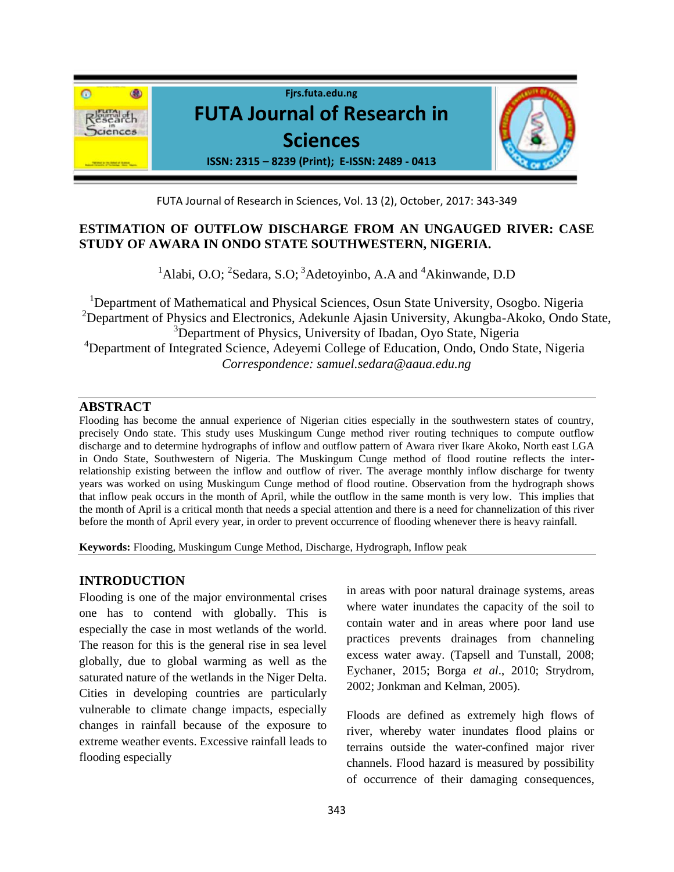

FUTA Journal of Research in Sciences, Vol. 13 (2), October, 2017: 343-349

# **ESTIMATION OF OUTFLOW DISCHARGE FROM AN UNGAUGED RIVER: CASE STUDY OF AWARA IN ONDO STATE SOUTHWESTERN, NIGERIA.**

<sup>1</sup>Alabi, O.O; <sup>2</sup>Sedara, S.O; <sup>3</sup>Adetoyinbo, A.A and <sup>4</sup>Akinwande, D.D

<sup>1</sup>Department of Mathematical and Physical Sciences, Osun State University, Osogbo. Nigeria <sup>2</sup>Department of Physics and Electronics, Adekunle Ajasin University, Akungba-Akoko, Ondo State, <sup>3</sup>Department of Physics, University of Ibadan, Oyo State, Nigeria <sup>4</sup>Department of Integrated Science, Adeyemi College of Education, Ondo, Ondo State, Nigeria *Correspondence: samuel.sedara@aaua.edu.ng*

### **ABSTRACT**

Flooding has become the annual experience of Nigerian cities especially in the southwestern states of country, precisely Ondo state. This study uses Muskingum Cunge method river routing techniques to compute outflow discharge and to determine hydrographs of inflow and outflow pattern of Awara river Ikare Akoko, North east LGA in Ondo State, Southwestern of Nigeria. The Muskingum Cunge method of flood routine reflects the interrelationship existing between the inflow and outflow of river. The average monthly inflow discharge for twenty years was worked on using Muskingum Cunge method of flood routine. Observation from the hydrograph shows that inflow peak occurs in the month of April, while the outflow in the same month is very low. This implies that the month of April is a critical month that needs a special attention and there is a need for channelization of this river before the month of April every year, in order to prevent occurrence of flooding whenever there is heavy rainfall.

**Keywords:** Flooding, Muskingum Cunge Method, Discharge, Hydrograph, Inflow peak

## **INTRODUCTION**

Flooding is one of the major environmental crises one has to contend with globally. This is especially the case in most wetlands of the world. The reason for this is the general rise in sea level globally, due to global warming as well as the saturated nature of the wetlands in the Niger Delta. Cities in developing countries are particularly vulnerable to climate change impacts, especially changes in rainfall because of the exposure to extreme weather events. Excessive rainfall leads to flooding especially

in areas with poor natural drainage systems, areas where water inundates the capacity of the soil to contain water and in areas where poor land use practices prevents drainages from channeling excess water away. (Tapsell and Tunstall, 2008; Eychaner, 2015; Borga *et al*., 2010; Strydrom, 2002; Jonkman and Kelman, 2005).

Floods are defined as extremely high flows of river, whereby water inundates flood plains or terrains outside the water-confined major river channels. Flood hazard is measured by possibility of occurrence of their damaging consequences,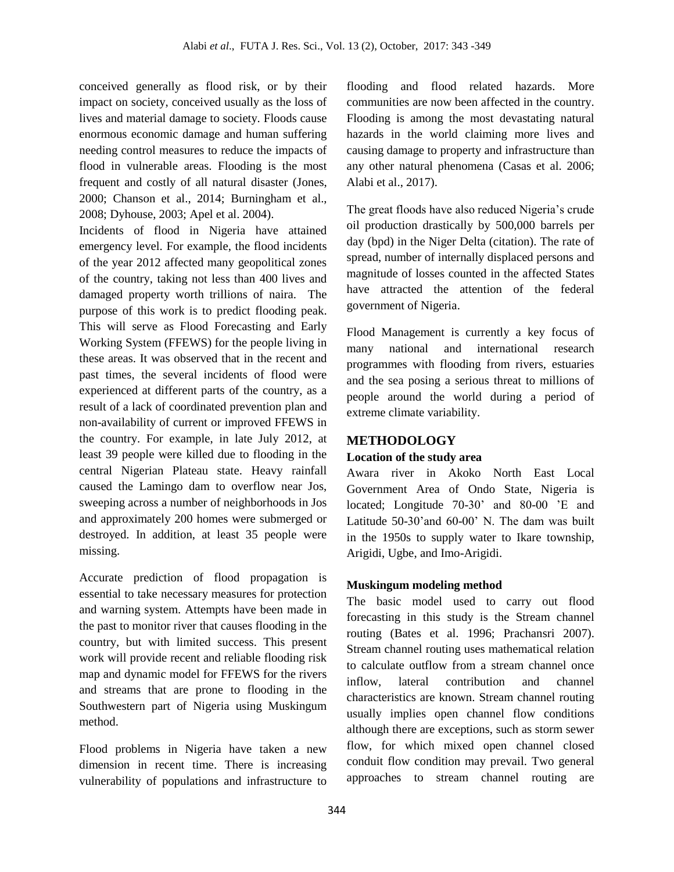conceived generally as flood risk, or by their impact on society, conceived usually as the loss of lives and material damage to society. Floods cause enormous economic damage and human suffering needing control measures to reduce the impacts of flood in vulnerable areas. Flooding is the most frequent and costly of all natural disaster (Jones, 2000; Chanson et al., 2014; Burningham et al., 2008; Dyhouse, 2003; Apel et al. 2004).

Incidents of flood in Nigeria have attained emergency level. For example, the flood incidents of the year 2012 affected many geopolitical zones of the country, taking not less than 400 lives and damaged property worth trillions of naira. The purpose of this work is to predict flooding peak. This will serve as Flood Forecasting and Early Working System (FFEWS) for the people living in these areas. It was observed that in the recent and past times, the several incidents of flood were experienced at different parts of the country, as a result of a lack of coordinated prevention plan and non-availability of current or improved FFEWS in the country. For example, in late July 2012, at least 39 people were killed due to flooding in the central Nigerian Plateau state. Heavy rainfall caused the Lamingo dam to overflow near Jos, sweeping across a number of neighborhoods in Jos and approximately 200 homes were submerged or destroyed. In addition, at least 35 people were missing.

Accurate prediction of flood propagation is essential to take necessary measures for protection and warning system. Attempts have been made in the past to monitor river that causes flooding in the country, but with limited success. This present work will provide recent and reliable flooding risk map and dynamic model for FFEWS for the rivers and streams that are prone to flooding in the Southwestern part of Nigeria using Muskingum method.

Flood problems in Nigeria have taken a new dimension in recent time. There is increasing vulnerability of populations and infrastructure to

flooding and flood related hazards. More communities are now been affected in the country. Flooding is among the most devastating natural hazards in the world claiming more lives and causing damage to property and infrastructure than any other natural phenomena (Casas et al. 2006; Alabi et al., 2017).

The great floods have also reduced Nigeria's crude oil production drastically by 500,000 barrels per day (bpd) in the Niger Delta (citation). The rate of spread, number of internally displaced persons and magnitude of losses counted in the affected States have attracted the attention of the federal government of Nigeria.

Flood Management is currently a key focus of many national and international research programmes with flooding from rivers, estuaries and the sea posing a serious threat to millions of people around the world during a period of extreme climate variability.

## **METHODOLOGY**

## **Location of the study area**

Awara river in Akoko North East Local Government Area of Ondo State, Nigeria is located; Longitude 70-30' and 80-00 'E and Latitude 50-30'and 60-00' N. The dam was built in the 1950s to supply water to Ikare township, Arigidi, Ugbe, and Imo-Arigidi.

## **Muskingum modeling method**

The basic model used to carry out flood forecasting in this study is the Stream channel routing (Bates et al. 1996; Prachansri 2007). Stream channel routing uses mathematical relation to calculate outflow from a stream channel once inflow, lateral contribution and channel characteristics are known. Stream channel routing usually implies open channel flow conditions although there are exceptions, such as storm sewer flow, for which mixed open channel closed conduit flow condition may prevail. Two general approaches to stream channel routing are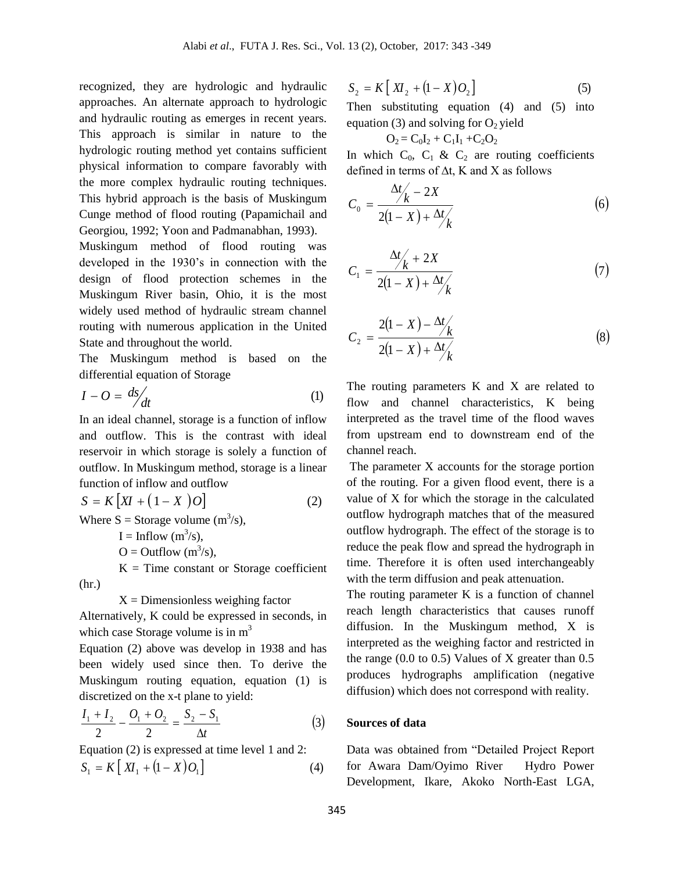recognized, they are hydrologic and hydraulic approaches. An alternate approach to hydrologic and hydraulic routing as emerges in recent years. This approach is similar in nature to the hydrologic routing method yet contains sufficient physical information to compare favorably with the more complex hydraulic routing techniques. This hybrid approach is the basis of Muskingum Cunge method of flood routing (Papamichail and Georgiou, 1992; Yoon and Padmanabhan, 1993).

Muskingum method of flood routing was developed in the 1930's in connection with the design of flood protection schemes in the Muskingum River basin, Ohio, it is the most widely used method of hydraulic stream channel routing with numerous application in the United State and throughout the world.

The Muskingum method is based on the differential equation of Storage

$$
I - O = \frac{ds}{dt} \tag{1}
$$

In an ideal channel, storage is a function of inflow and outflow. This is the contrast with ideal reservoir in which storage is solely a function of outflow. In Muskingum method, storage is a linear function of inflow and outflow

$$
S = K [XI + (1 - X) O]
$$
  
Where S = Storage volume (m<sup>3</sup>/s), (2)

 $I = Inflow (m<sup>3</sup>/s),$ 

 $O = Outflow(m^3/s),$ 

 $K = Time constant$  or Storage coefficient (hr.)

 $X =$  Dimensionless weighing factor

Alternatively, K could be expressed in seconds, in which case Storage volume is in  $m<sup>3</sup>$ 

Equation (2) above was develop in 1938 and has been widely used since then. To derive the Muskingum routing equation, equation (1) is discretized on the x-t plane to yield:

$$
\frac{I_1 + I_2}{2} - \frac{O_1 + O_2}{2} = \frac{S_2 - S_1}{\Delta t}
$$
 (3)

Equation (2) is expressed at time level 1 and 2:  $S_1 = K \left[ XI_1 + (1 - X)O_1 \right]$  (4)

$$
S_2 = K[X_2 + (1 - X)O_2]
$$
 (5)

Then substituting equation (4) and (5) into equation (3) and solving for  $O<sub>2</sub>$  yield

$$
O_2 = C_0 I_2 + C_1 I_1 + C_2 O_2
$$

In which  $C_0$ ,  $C_1$  &  $C_2$  are routing coefficients defined in terms of ∆t, K and X as follows

$$
C_0 = \frac{\Delta t / (1 - 2X)}{2(1 - X) + \Delta t / (1 - X)}
$$
 (6)

$$
C_1 = \frac{\Delta t / k + 2X}{2(1 - X) + \Delta t / k} \tag{7}
$$

$$
C_2 = \frac{2(1-X) - \frac{\Delta t}{k}}{2(1-X) + \frac{\Delta t}{k}}
$$
(8)

The routing parameters K and X are related to flow and channel characteristics, K being interpreted as the travel time of the flood waves from upstream end to downstream end of the channel reach.

The parameter X accounts for the storage portion of the routing. For a given flood event, there is a value of X for which the storage in the calculated outflow hydrograph matches that of the measured outflow hydrograph. The effect of the storage is to reduce the peak flow and spread the hydrograph in time. Therefore it is often used interchangeably with the term diffusion and peak attenuation.

The routing parameter K is a function of channel reach length characteristics that causes runoff diffusion. In the Muskingum method, X is interpreted as the weighing factor and restricted in the range (0.0 to 0.5) Values of X greater than 0.5 produces hydrographs amplification (negative diffusion) which does not correspond with reality.

#### **Sources of data**

Data was obtained from "Detailed Project Report for Awara Dam/Oyimo River Hydro Power Development, Ikare, Akoko North-East LGA,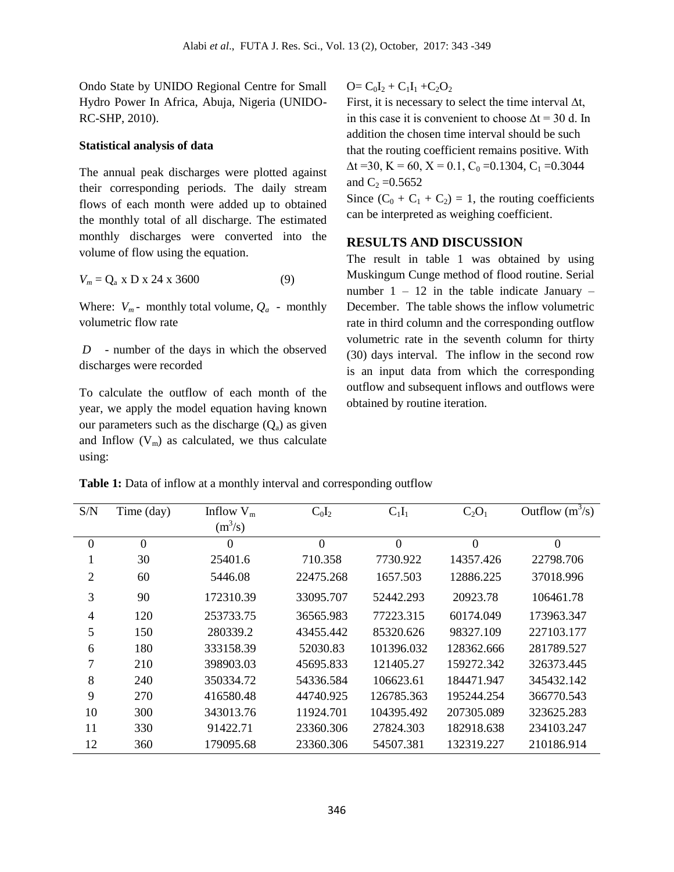Ondo State by UNIDO Regional Centre for Small Hydro Power In Africa, Abuja, Nigeria (UNIDO-RC-SHP, 2010).

#### **Statistical analysis of data**

The annual peak discharges were plotted against their corresponding periods. The daily stream flows of each month were added up to obtained the monthly total of all discharge. The estimated monthly discharges were converted into the volume of flow using the equation.

$$
V_m = Q_a \times D \times 24 \times 3600 \tag{9}
$$

Where:  $V_m$ - monthly total volume,  $Q_a$  - monthly volumetric flow rate

*D* - number of the days in which the observed discharges were recorded

To calculate the outflow of each month of the year, we apply the model equation having known our parameters such as the discharge  $(Q_a)$  as given and Inflow  $(V_m)$  as calculated, we thus calculate using:

 $Q = C_0I_2 + C_1I_1 + C_2O_2$ 

First, it is necessary to select the time interval  $\Delta t$ , in this case it is convenient to choose  $\Delta t = 30$  d. In addition the chosen time interval should be such that the routing coefficient remains positive. With  $\Delta t = 30$ , K = 60, X = 0.1, C<sub>0</sub> = 0.1304, C<sub>1</sub> = 0.3044 and  $C_2 = 0.5652$ 

Since  $(C_0 + C_1 + C_2) = 1$ , the routing coefficients can be interpreted as weighing coefficient.

### **RESULTS AND DISCUSSION**

The result in table 1 was obtained by using Muskingum Cunge method of flood routine. Serial number  $1 - 12$  in the table indicate January – December. The table shows the inflow volumetric rate in third column and the corresponding outflow volumetric rate in the seventh column for thirty (30) days interval. The inflow in the second row is an input data from which the corresponding outflow and subsequent inflows and outflows were obtained by routine iteration.

**Table 1:** Data of inflow at a monthly interval and corresponding outflow

| S/N              | Time (day) | Inflow $V_m$ | $C_0I_2$       | $C_1I_1$       | $C_2O_1$         | Outflow $(m^3/s)$ |
|------------------|------------|--------------|----------------|----------------|------------------|-------------------|
|                  |            | $(m^3/s)$    |                |                |                  |                   |
| $\boldsymbol{0}$ | $\theta$   | $\theta$     | $\overline{0}$ | $\overline{0}$ | $\boldsymbol{0}$ | $\boldsymbol{0}$  |
| л.               | 30         | 25401.6      | 710.358        | 7730.922       | 14357.426        | 22798.706         |
| $\overline{2}$   | 60         | 5446.08      | 22475.268      | 1657.503       | 12886.225        | 37018.996         |
| 3                | 90         | 172310.39    | 33095.707      | 52442.293      | 20923.78         | 106461.78         |
| $\overline{4}$   | 120        | 253733.75    | 36565.983      | 77223.315      | 60174.049        | 173963.347        |
| 5                | 150        | 280339.2     | 43455.442      | 85320.626      | 98327.109        | 227103.177        |
| 6                | 180        | 333158.39    | 52030.83       | 101396.032     | 128362.666       | 281789.527        |
| 7                | 210        | 398903.03    | 45695.833      | 121405.27      | 159272.342       | 326373.445        |
| 8                | 240        | 350334.72    | 54336.584      | 106623.61      | 184471.947       | 345432.142        |
| 9                | 270        | 416580.48    | 44740.925      | 126785.363     | 195244.254       | 366770.543        |
| 10               | 300        | 343013.76    | 11924.701      | 104395.492     | 207305.089       | 323625.283        |
| 11               | 330        | 91422.71     | 23360.306      | 27824.303      | 182918.638       | 234103.247        |
| 12               | 360        | 179095.68    | 23360.306      | 54507.381      | 132319.227       | 210186.914        |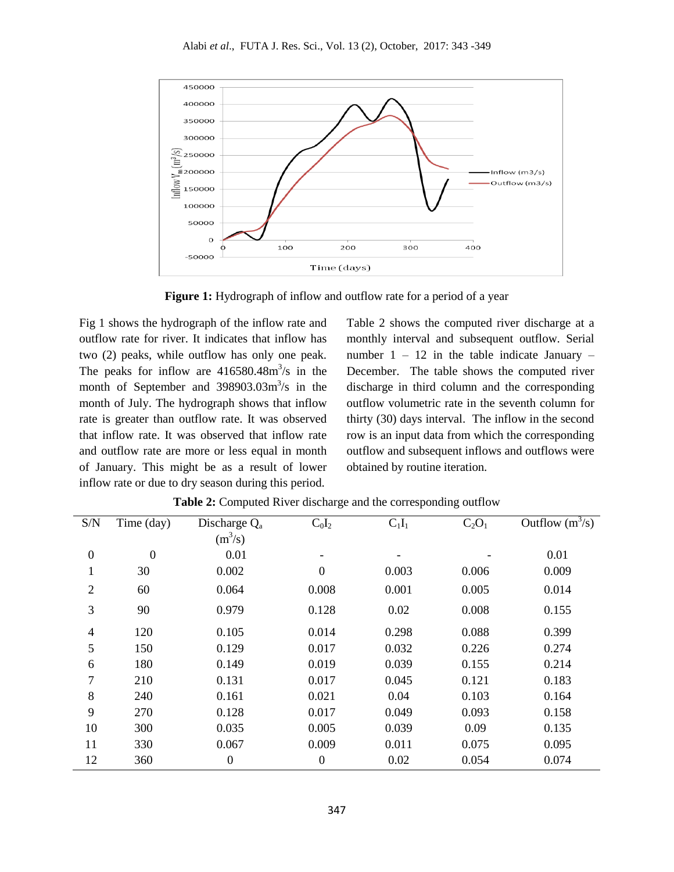

**Figure 1:** Hydrograph of inflow and outflow rate for a period of a year

Fig 1 shows the hydrograph of the inflow rate and outflow rate for river. It indicates that inflow has two (2) peaks, while outflow has only one peak. The peaks for inflow are  $416580.48 \text{m}^3/\text{s}$  in the month of September and  $398903.03m<sup>3</sup>/s$  in the month of July. The hydrograph shows that inflow rate is greater than outflow rate. It was observed that inflow rate. It was observed that inflow rate and outflow rate are more or less equal in month of January. This might be as a result of lower inflow rate or due to dry season during this period.

Table 2 shows the computed river discharge at a monthly interval and subsequent outflow. Serial number  $1 - 12$  in the table indicate January – December. The table shows the computed river discharge in third column and the corresponding outflow volumetric rate in the seventh column for thirty (30) days interval. The inflow in the second row is an input data from which the corresponding outflow and subsequent inflows and outflows were obtained by routine iteration.

| S/N              | Time (day)     | Discharge $Q_a$  | $C_0I_2$                 | $C_1I_1$ | $C_2O_1$ | Outflow $\overline{\text{ (m}^3/\text{s})}$ |
|------------------|----------------|------------------|--------------------------|----------|----------|---------------------------------------------|
|                  |                | $(m^3/s)$        |                          |          |          |                                             |
| $\boldsymbol{0}$ | $\overline{0}$ | 0.01             | $\overline{\phantom{a}}$ |          |          | 0.01                                        |
| $\mathbf{1}$     | 30             | 0.002            | $\mathbf{0}$             | 0.003    | 0.006    | 0.009                                       |
| $\overline{2}$   | 60             | 0.064            | 0.008                    | 0.001    | 0.005    | 0.014                                       |
| 3                | 90             | 0.979            | 0.128                    | 0.02     | 0.008    | 0.155                                       |
| $\overline{4}$   | 120            | 0.105            | 0.014                    | 0.298    | 0.088    | 0.399                                       |
| 5                | 150            | 0.129            | 0.017                    | 0.032    | 0.226    | 0.274                                       |
| 6                | 180            | 0.149            | 0.019                    | 0.039    | 0.155    | 0.214                                       |
| $\overline{7}$   | 210            | 0.131            | 0.017                    | 0.045    | 0.121    | 0.183                                       |
| 8                | 240            | 0.161            | 0.021                    | 0.04     | 0.103    | 0.164                                       |
| 9                | 270            | 0.128            | 0.017                    | 0.049    | 0.093    | 0.158                                       |
| 10               | 300            | 0.035            | 0.005                    | 0.039    | 0.09     | 0.135                                       |
| 11               | 330            | 0.067            | 0.009                    | 0.011    | 0.075    | 0.095                                       |
| 12               | 360            | $\boldsymbol{0}$ | $\mathbf{0}$             | 0.02     | 0.054    | 0.074                                       |

**Table 2:** Computed River discharge and the corresponding outflow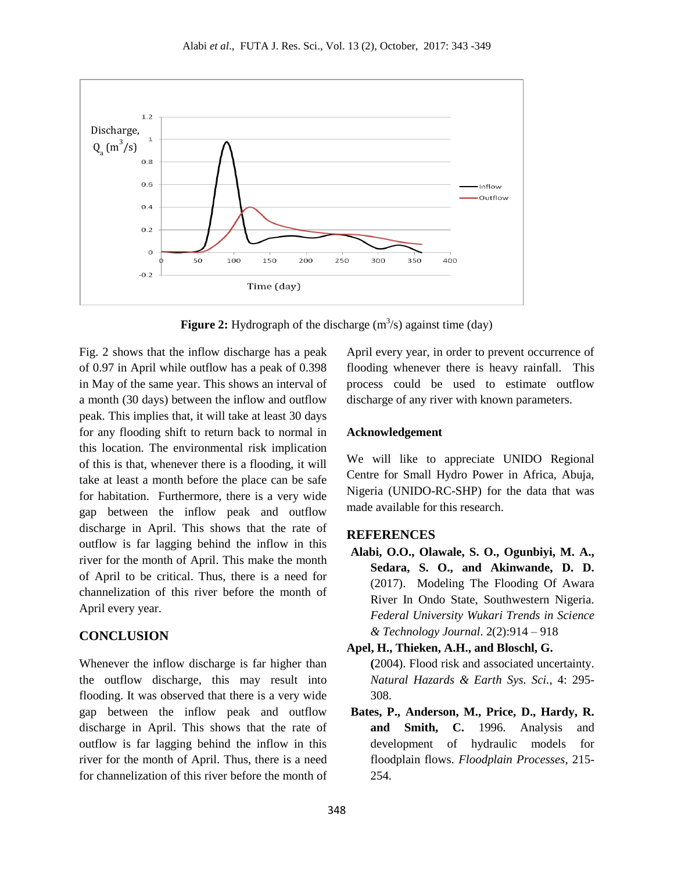

**Figure 2:** Hydrograph of the discharge  $(m^3/s)$  against time  $(day)$ 

Fig. 2 shows that the inflow discharge has a peak of 0.97 in April while outflow has a peak of 0.398 in May of the same year. This shows an interval of a month (30 days) between the inflow and outflow peak. This implies that, it will take at least 30 days for any flooding shift to return back to normal in this location. The environmental risk implication of this is that, whenever there is a flooding, it will take at least a month before the place can be safe for habitation. Furthermore, there is a very wide gap between the inflow peak and outflow discharge in April. This shows that the rate of outflow is far lagging behind the inflow in this river for the month of April. This make the month of April to be critical. Thus, there is a need for channelization of this river before the month of April every year.

### **CONCLUSION**

Whenever the inflow discharge is far higher than the outflow discharge, this may result into flooding. It was observed that there is a very wide gap between the inflow peak and outflow discharge in April. This shows that the rate of outflow is far lagging behind the inflow in this river for the month of April. Thus, there is a need for channelization of this river before the month of

April every year, in order to prevent occurrence of flooding whenever there is heavy rainfall. This process could be used to estimate outflow discharge of any river with known parameters.

#### **Acknowledgement**

We will like to appreciate UNIDO Regional Centre for Small Hydro Power in Africa, Abuja, Nigeria (UNIDO-RC-SHP) for the data that was made available for this research.

#### **REFERENCES**

**Alabi, O.O., Olawale, S. O., Ogunbiyi, M. A., Sedara, S. O., and Akinwande, D. D.** (2017). Modeling The Flooding Of Awara River In Ondo State, Southwestern Nigeria. *Federal University Wukari Trends in Science & Technology Journal*. 2(2):914 – 918

**Apel, H., Thieken, A.H., and Bloschl, G. (**2004). Flood risk and associated uncertainty. *Natural Hazards & Earth Sys. Sci.*, 4: 295- 308.

**Bates, P., Anderson, M., Price, D., Hardy, R. and Smith, C.** 1996. Analysis and development of hydraulic models for floodplain flows*. Floodplain Processes*, 215- 254.